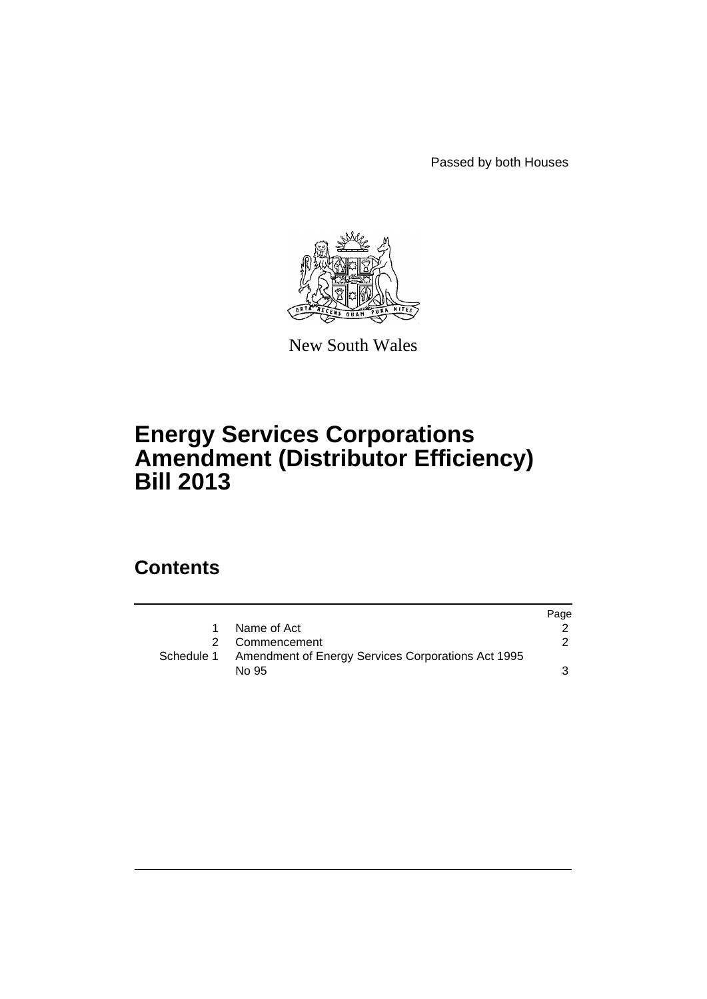Passed by both Houses



New South Wales

## **Energy Services Corporations Amendment (Distributor Efficiency) Bill 2013**

## **Contents**

|  |                                                               | Page |
|--|---------------------------------------------------------------|------|
|  | Name of Act                                                   |      |
|  | Commencement                                                  |      |
|  | Schedule 1 Amendment of Energy Services Corporations Act 1995 |      |
|  | No 95                                                         | 3.   |
|  |                                                               |      |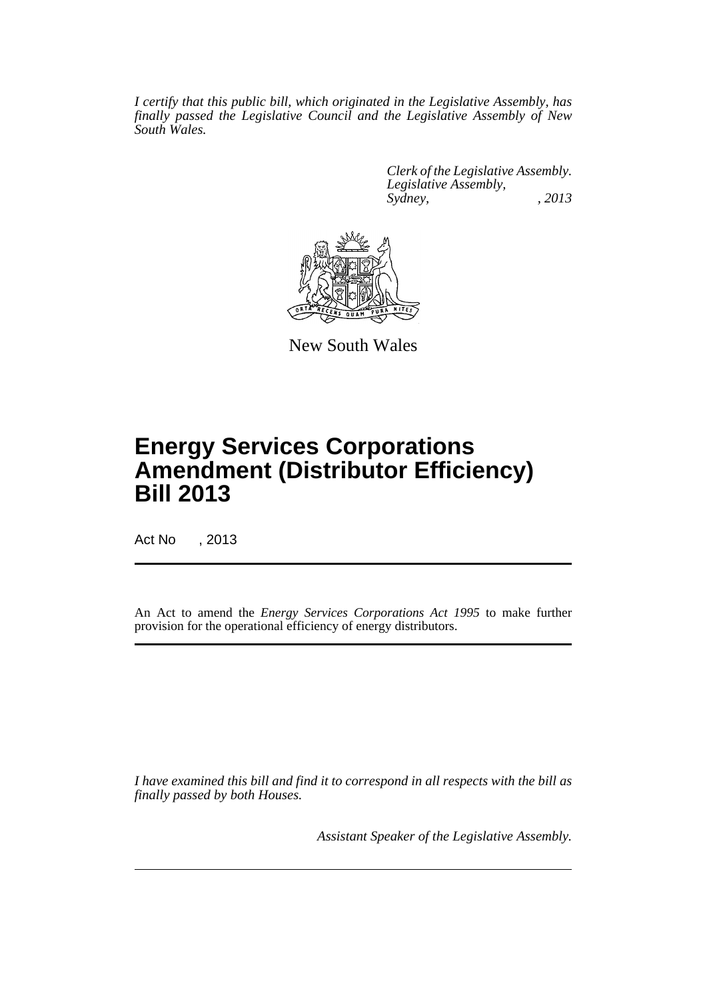*I certify that this public bill, which originated in the Legislative Assembly, has finally passed the Legislative Council and the Legislative Assembly of New South Wales.*

> *Clerk of the Legislative Assembly. Legislative Assembly, Sydney, , 2013*



New South Wales

# **Energy Services Corporations Amendment (Distributor Efficiency) Bill 2013**

Act No , 2013

An Act to amend the *Energy Services Corporations Act 1995* to make further provision for the operational efficiency of energy distributors.

*I have examined this bill and find it to correspond in all respects with the bill as finally passed by both Houses.*

*Assistant Speaker of the Legislative Assembly.*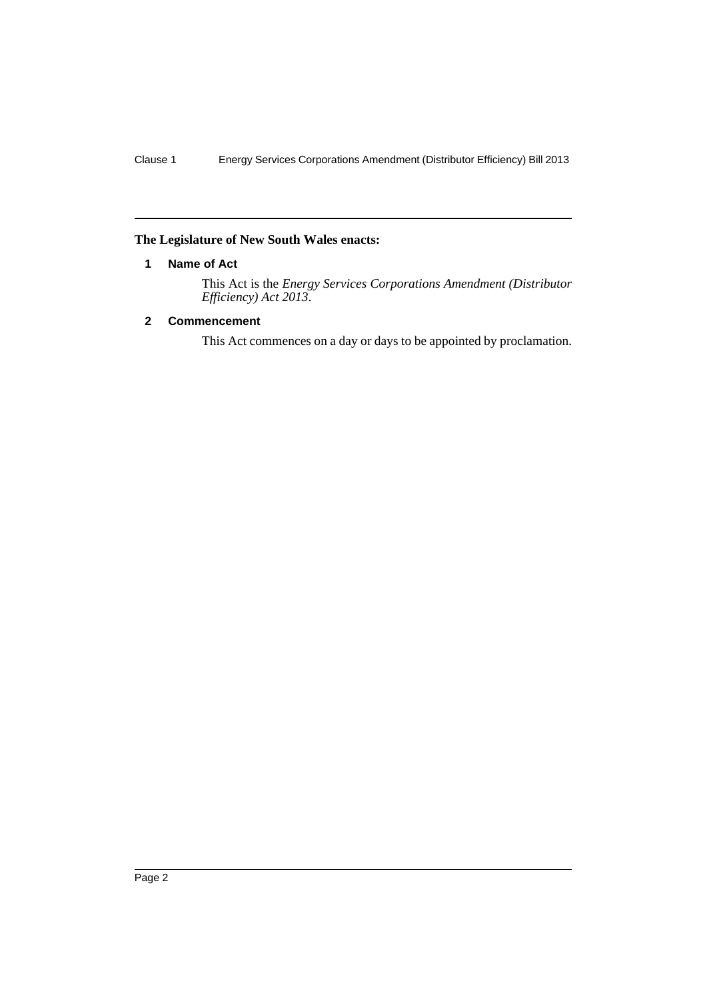#### <span id="page-3-0"></span>**The Legislature of New South Wales enacts:**

#### **1 Name of Act**

This Act is the *Energy Services Corporations Amendment (Distributor Efficiency) Act 2013*.

#### <span id="page-3-1"></span>**2 Commencement**

This Act commences on a day or days to be appointed by proclamation.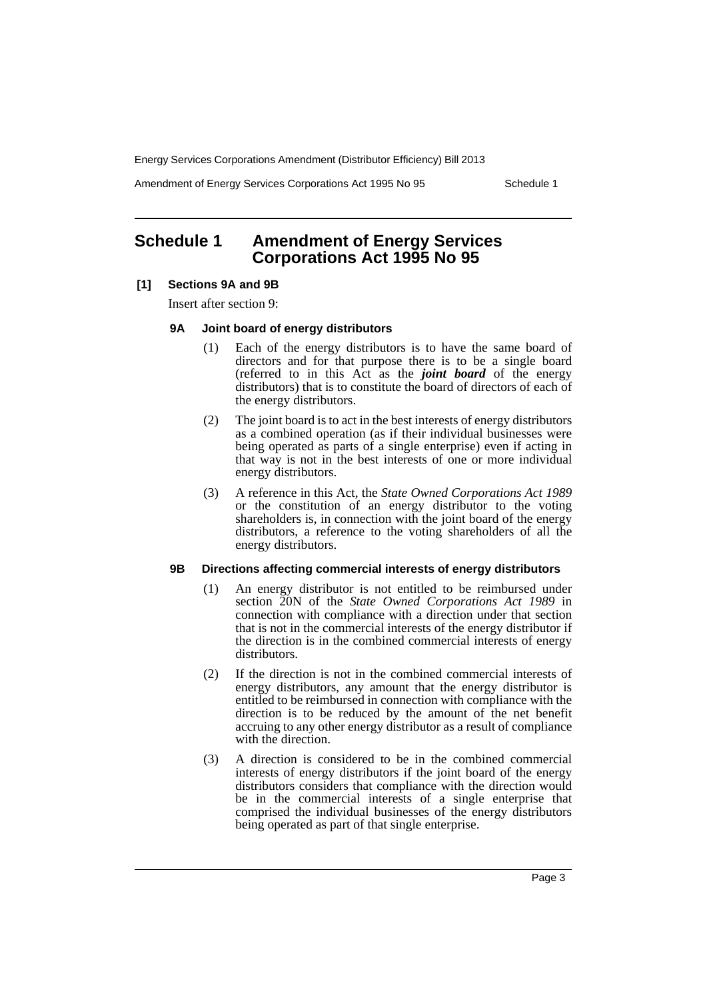Energy Services Corporations Amendment (Distributor Efficiency) Bill 2013

Amendment of Energy Services Corporations Act 1995 No 95 Schedule 1

### <span id="page-4-0"></span>**Schedule 1 Amendment of Energy Services Corporations Act 1995 No 95**

#### **[1] Sections 9A and 9B**

Insert after section 9:

#### **9A Joint board of energy distributors**

- (1) Each of the energy distributors is to have the same board of directors and for that purpose there is to be a single board (referred to in this Act as the *joint board* of the energy distributors) that is to constitute the board of directors of each of the energy distributors.
- (2) The joint board is to act in the best interests of energy distributors as a combined operation (as if their individual businesses were being operated as parts of a single enterprise) even if acting in that way is not in the best interests of one or more individual energy distributors.
- (3) A reference in this Act, the *State Owned Corporations Act 1989* or the constitution of an energy distributor to the voting shareholders is, in connection with the joint board of the energy distributors, a reference to the voting shareholders of all the energy distributors.

#### **9B Directions affecting commercial interests of energy distributors**

- (1) An energy distributor is not entitled to be reimbursed under section 20N of the *State Owned Corporations Act 1989* in connection with compliance with a direction under that section that is not in the commercial interests of the energy distributor if the direction is in the combined commercial interests of energy distributors.
- (2) If the direction is not in the combined commercial interests of energy distributors, any amount that the energy distributor is entitled to be reimbursed in connection with compliance with the direction is to be reduced by the amount of the net benefit accruing to any other energy distributor as a result of compliance with the direction.
- (3) A direction is considered to be in the combined commercial interests of energy distributors if the joint board of the energy distributors considers that compliance with the direction would be in the commercial interests of a single enterprise that comprised the individual businesses of the energy distributors being operated as part of that single enterprise.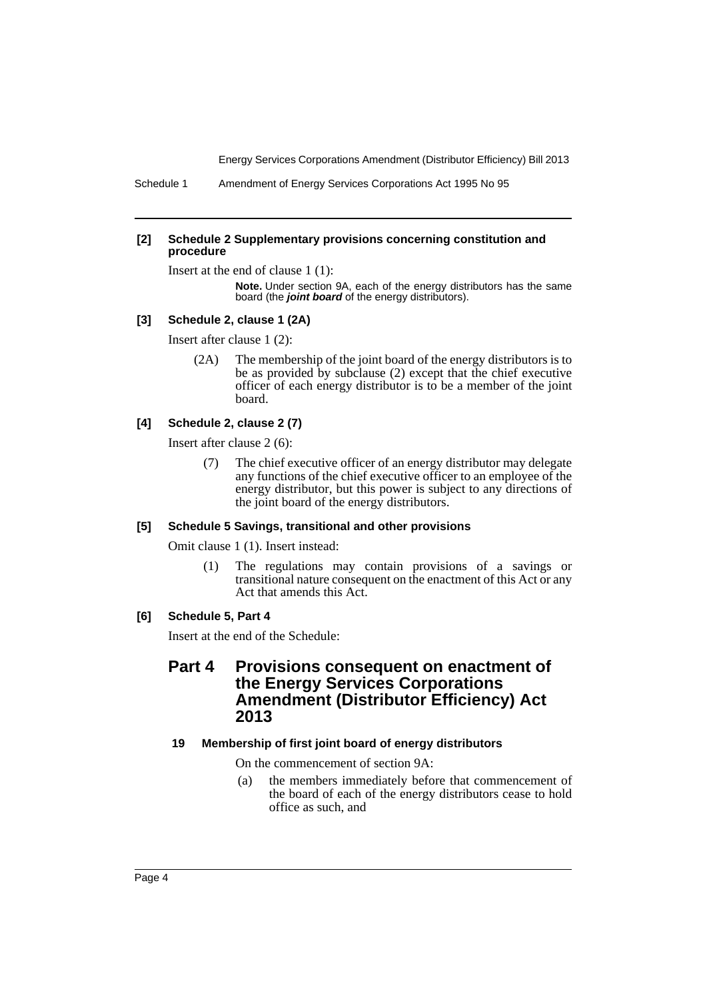Energy Services Corporations Amendment (Distributor Efficiency) Bill 2013

Schedule 1 Amendment of Energy Services Corporations Act 1995 No 95

#### **[2] Schedule 2 Supplementary provisions concerning constitution and procedure**

Insert at the end of clause 1 (1):

**Note.** Under section 9A, each of the energy distributors has the same board (the *joint board* of the energy distributors).

#### **[3] Schedule 2, clause 1 (2A)**

Insert after clause 1 (2):

(2A) The membership of the joint board of the energy distributors is to be as provided by subclause (2) except that the chief executive officer of each energy distributor is to be a member of the joint board.

#### **[4] Schedule 2, clause 2 (7)**

Insert after clause 2 (6):

(7) The chief executive officer of an energy distributor may delegate any functions of the chief executive officer to an employee of the energy distributor, but this power is subject to any directions of the joint board of the energy distributors.

#### **[5] Schedule 5 Savings, transitional and other provisions**

Omit clause 1 (1). Insert instead:

(1) The regulations may contain provisions of a savings or transitional nature consequent on the enactment of this Act or any Act that amends this Act.

#### **[6] Schedule 5, Part 4**

Insert at the end of the Schedule:

### **Part 4 Provisions consequent on enactment of the Energy Services Corporations Amendment (Distributor Efficiency) Act 2013**

#### **19 Membership of first joint board of energy distributors**

On the commencement of section 9A:

(a) the members immediately before that commencement of the board of each of the energy distributors cease to hold office as such, and